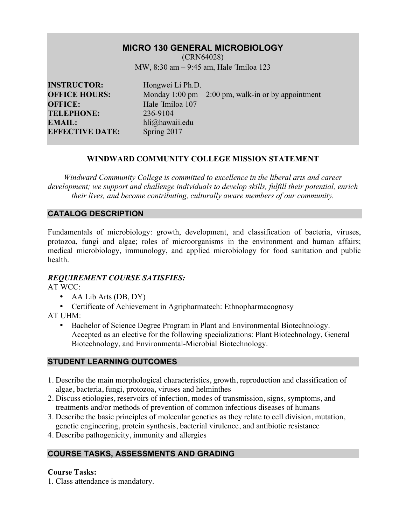# **MICRO 130 GENERAL MICROBIOLOGY**

(CRN64028) MW, 8:30 am – 9:45 am, Hale ʹImiloa 123

**INSTRUCTOR:** Hongwei Li Ph.D. **OFFICE:** Hale 'Imiloa 107<br> **TELEPHONE:** 236-9104 **TELEPHONE: EMAIL:** hli@hawaii.edu **EFFECTIVE DATE:** Spring 2017

**OFFICE HOURS:** Monday 1:00 pm – 2:00 pm, walk-in or by appointment

## **WINDWARD COMMUNITY COLLEGE MISSION STATEMENT**

*Windward Community College is committed to excellence in the liberal arts and career development; we support and challenge individuals to develop skills, fulfill their potential, enrich their lives, and become contributing, culturally aware members of our community.*

## **CATALOG DESCRIPTION**

Fundamentals of microbiology: growth, development, and classification of bacteria, viruses, protozoa, fungi and algae; roles of microorganisms in the environment and human affairs; medical microbiology, immunology, and applied microbiology for food sanitation and public health.

#### *REQUIREMENT COURSE SATISFIES:*

AT WCC:

- AA Lib Arts (DB, DY)
- Certificate of Achievement in Agripharmatech: Ethnopharmacognosy

AT UHM:

• Bachelor of Science Degree Program in Plant and Environmental Biotechnology. Accepted as an elective for the following specializations: Plant Biotechnology, General Biotechnology, and Environmental-Microbial Biotechnology.

#### **STUDENT LEARNING OUTCOMES**

- 1. Describe the main morphological characteristics, growth, reproduction and classification of algae, bacteria, fungi, protozoa, viruses and helminthes
- 2. Discuss etiologies, reservoirs of infection, modes of transmission, signs, symptoms, and treatments and/or methods of prevention of common infectious diseases of humans
- 3. Describe the basic principles of molecular genetics as they relate to cell division, mutation, genetic engineering, protein synthesis, bacterial virulence, and antibiotic resistance
- 4. Describe pathogenicity, immunity and allergies

# **COURSE TASKS, ASSESSMENTS AND GRADING**

#### **Course Tasks:**

1. Class attendance is mandatory.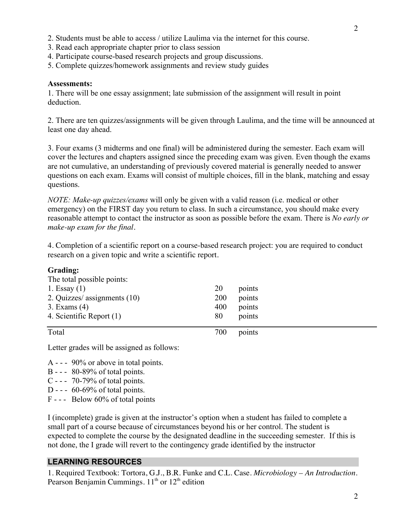- 3. Read each appropriate chapter prior to class session
- 4. Participate course-based research projects and group discussions.
- 5. Complete quizzes/homework assignments and review study guides

#### **Assessments:**

1. There will be one essay assignment; late submission of the assignment will result in point deduction.

2. There are ten quizzes/assignments will be given through Laulima, and the time will be announced at least one day ahead.

3. Four exams (3 midterms and one final) will be administered during the semester. Each exam will cover the lectures and chapters assigned since the preceding exam was given. Even though the exams are not cumulative, an understanding of previously covered material is generally needed to answer questions on each exam. Exams will consist of multiple choices, fill in the blank, matching and essay questions.

*NOTE: Make-up quizzes/exams* will only be given with a valid reason (i.e. medical or other emergency) on the FIRST day you return to class. In such a circumstance, you should make every reasonable attempt to contact the instructor as soon as possible before the exam. There is *No early or make-up exam for the final.*

4. Completion of a scientific report on a course-based research project: you are required to conduct research on a given topic and write a scientific report.

#### **Grading:**

| The total possible points:<br>1. Essay $(1)$<br>2. Quizzes/ assignments (10)<br>3. Exams $(4)$<br>4. Scientific Report (1) | 20<br>200<br>400<br>80 | points<br>points<br>points<br>points |
|----------------------------------------------------------------------------------------------------------------------------|------------------------|--------------------------------------|
| Total                                                                                                                      | 700                    | points                               |

Letter grades will be assigned as follows:

A - - - 90% or above in total points.

- B - 80-89% of total points.
- C - 70-79% of total points.
- D - 60-69% of total points.
- F - Below 60% of total points

I (incomplete) grade is given at the instructor's option when a student has failed to complete a small part of a course because of circumstances beyond his or her control. The student is expected to complete the course by the designated deadline in the succeeding semester. If this is not done, the I grade will revert to the contingency grade identified by the instructor

#### **LEARNING RESOURCES**

1. Required Textbook: Tortora, G.J., B.R. Funke and C.L. Case. *Microbiology – An Introduction*. Pearson Benjamin Cummings.  $11<sup>th</sup>$  or  $12<sup>th</sup>$  edition